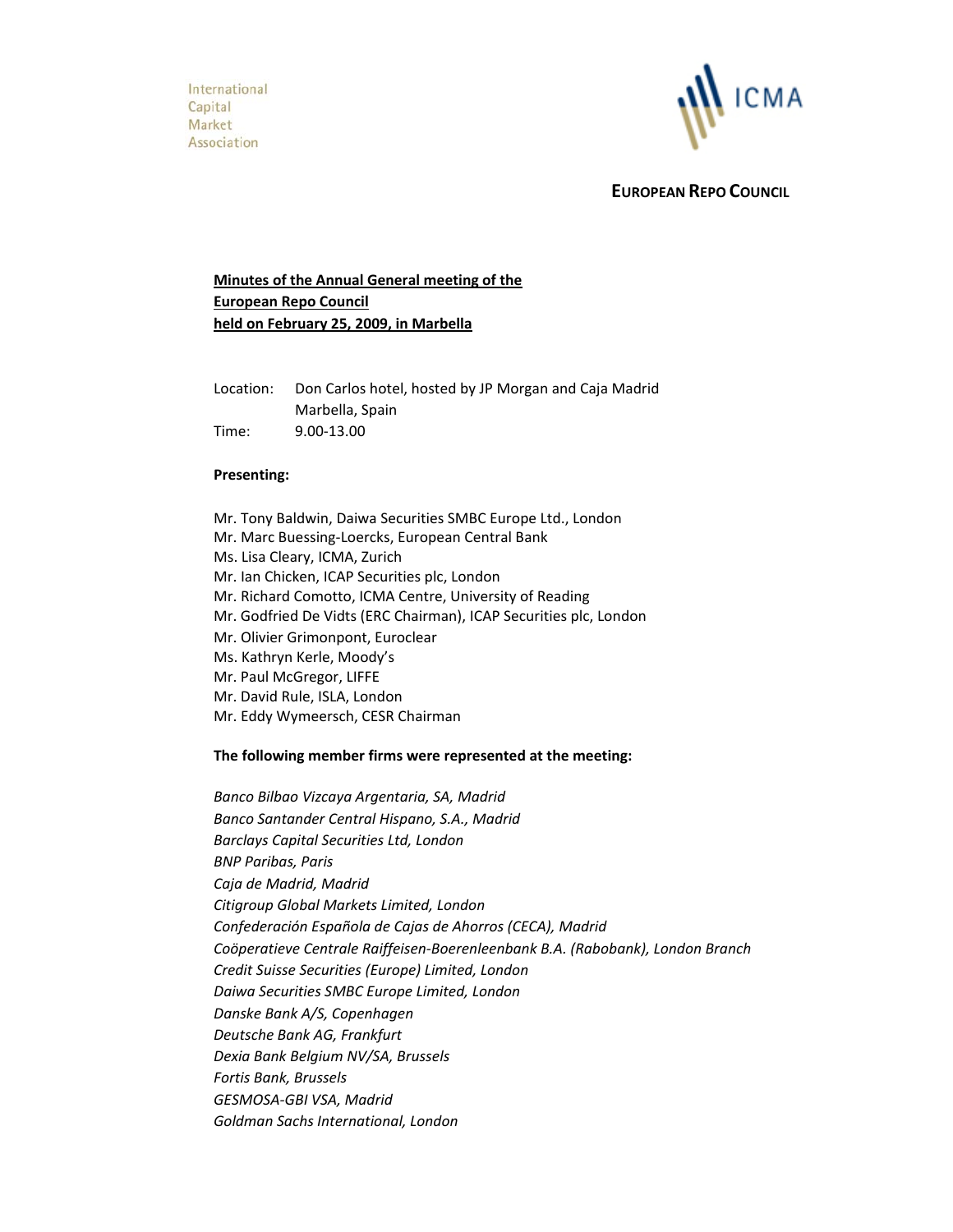

 **EUROPEAN REPO COUNCIL**

# **Minutes of the Annual General meeting of the European Repo Council held on February 25, 2009, in Marbella**

Location: Don Carlos hotel, hosted by JP Morgan and Caja Madrid Marbella, Spain Time: 9.00‐13.00

#### **Presenting:**

Mr. Tony Baldwin, Daiwa Securities SMBC Europe Ltd., London Mr. Marc Buessing‐Loercks, European Central Bank Ms. Lisa Cleary, ICMA, Zurich Mr. Ian Chicken, ICAP Securities plc, London Mr. Richard Comotto, ICMA Centre, University of Reading Mr. Godfried De Vidts (ERC Chairman), ICAP Securities plc, London Mr. Olivier Grimonpont, Euroclear Ms. Kathryn Kerle, Moody's Mr. Paul McGregor, LIFFE Mr. David Rule, ISLA, London Mr. Eddy Wymeersch, CESR Chairman

## **The following member firms were represented at the meeting:**

*Banco Bilbao Vizcaya Argentaria, SA, Madrid Banco Santander Central Hispano, S.A., Madrid Barclays Capital Securities Ltd, London BNP Paribas, Paris Caja de Madrid, Madrid Citigroup Global Markets Limited, London Confederación Española de Cajas de Ahorros (CECA), Madrid Coöperatieve Centrale Raiffeisen‐Boerenleenbank B.A. (Rabobank), London Branch Credit Suisse Securities (Europe) Limited, London Daiwa Securities SMBC Europe Limited, London Danske Bank A/S, Copenhagen Deutsche Bank AG, Frankfurt Dexia Bank Belgium NV/SA, Brussels Fortis Bank, Brussels GESMOSA‐GBI VSA, Madrid Goldman Sachs International, London*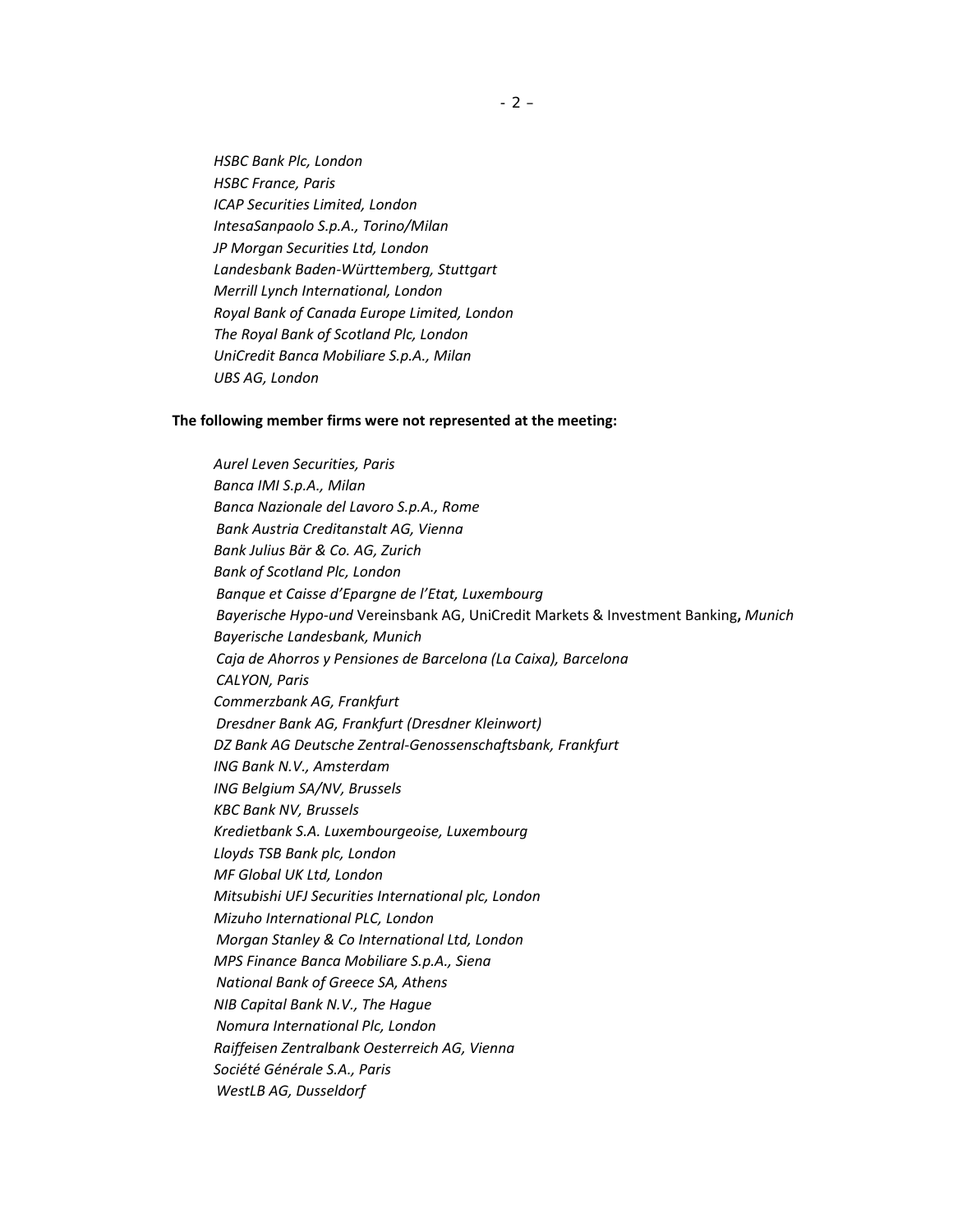*HSBC Bank Plc, London HSBC France, Paris ICAP Securities Limited, London IntesaSanpaolo S.p.A., Torino/Milan JP Morgan Securities Ltd, London Landesbank Baden‐Württemberg, Stuttgart Merrill Lynch International, London Royal Bank of Canada Europe Limited, London The Royal Bank of Scotland Plc, London UniCredit Banca Mobiliare S.p.A., Milan UBS AG, London*

#### **The following member firms were not represented at the meeting:**

*Aurel Leven Securities, Paris Banca IMI S.p.A., Milan Banca Nazionale del Lavoro S.p.A., Rome Bank Austria Creditanstalt AG, Vienna Bank Julius Bär & Co. AG, Zurich Bank of Scotland Plc, London Banque et Caisse d'Epargne de l'Etat, Luxembourg Bayerische Hypo‐und* Vereinsbank AG, UniCredit Markets & Investment Banking**,** *Munich Bayerische Landesbank, Munich Caja de Ahorros y Pensiones de Barcelona (La Caixa), Barcelona CALYON, Paris Commerzbank AG, Frankfurt Dresdner Bank AG, Frankfurt (Dresdner Kleinwort) DZ Bank AG Deutsche Zentral‐Genossenschaftsbank, Frankfurt ING Bank N.V., Amsterdam ING Belgium SA/NV, Brussels KBC Bank NV, Brussels Kredietbank S.A. Luxembourgeoise, Luxembourg Lloyds TSB Bank plc, London MF Global UK Ltd, London Mitsubishi UFJ Securities International plc, London Mizuho International PLC, London Morgan Stanley & Co International Ltd, London MPS Finance Banca Mobiliare S.p.A., Siena National Bank of Greece SA, Athens NIB Capital Bank N.V., The Hague Nomura International Plc, London Raiffeisen Zentralbank Oesterreich AG, Vienna Société Générale S.A., Paris WestLB AG, Dusseldorf*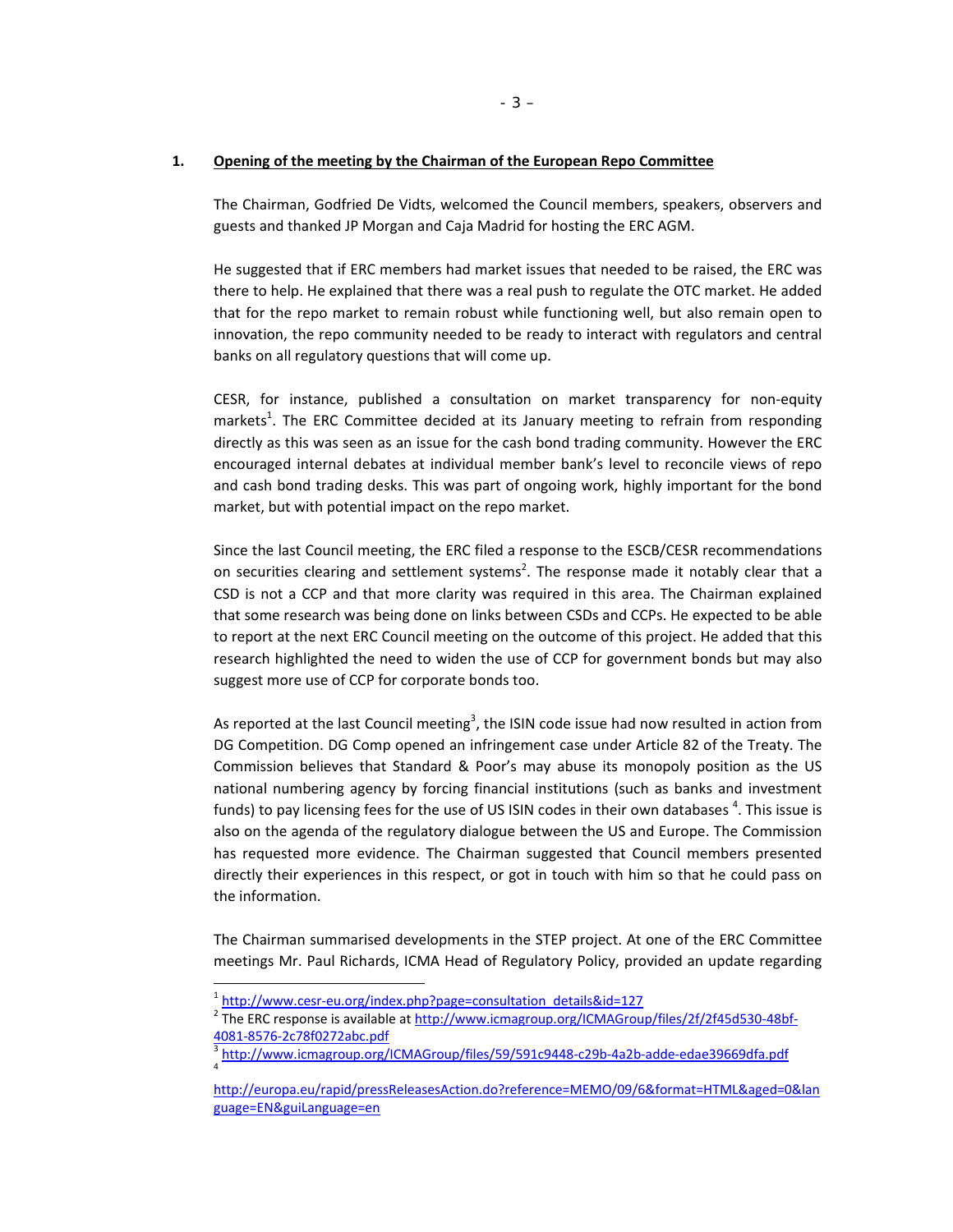## **1. Opening of the meeting by the Chairman of the European Repo Committee**

The Chairman, Godfried De Vidts, welcomed the Council members, speakers, observers and guests and thanked JP Morgan and Caja Madrid for hosting the ERC AGM.

He suggested that if ERC members had market issues that needed to be raised, the ERC was there to help. He explained that there was a real push to regulate the OTC market. He added that for the repo market to remain robust while functioning well, but also remain open to innovation, the repo community needed to be ready to interact with regulators and central banks on all regulatory questions that will come up.

CESR, for instance, published a consultation on market transparency for non‐equity markets<sup>1</sup>. The ERC Committee decided at its January meeting to refrain from responding directly as this was seen as an issue for the cash bond trading community. However the ERC encouraged internal debates at individual member bank's level to reconcile views of repo and cash bond trading desks. This was part of ongoing work, highly important for the bond market, but with potential impact on the repo market.

Since the last Council meeting, the ERC filed a response to the ESCB/CESR recommendations on securities clearing and settlement systems<sup>2</sup>. The response made it notably clear that a CSD is not a CCP and that more clarity was required in this area. The Chairman explained that some research was being done on links between CSDs and CCPs. He expected to be able to report at the next ERC Council meeting on the outcome of this project. He added that this research highlighted the need to widen the use of CCP for government bonds but may also suggest more use of CCP for corporate bonds too.

As reported at the last Council meeting<sup>3</sup>, the ISIN code issue had now resulted in action from DG Competition. DG Comp opened an infringement case under Article 82 of the Treaty. The Commission believes that Standard & Poor's may abuse its monopoly position as the US national numbering agency by forcing financial institutions (such as banks and investment funds) to pay licensing fees for the use of US ISIN codes in their own databases  $^4$ . This issue is also on the agenda of the regulatory dialogue between the US and Europe. The Commission has requested more evidence. The Chairman suggested that Council members presented directly their experiences in this respect, or got in touch with him so that he could pass on the information.

The Chairman summarised developments in the STEP project. At one of the ERC Committee meetings Mr. Paul Richards, ICMA Head of Regulatory Policy, provided an update regarding

 $\overline{a}$ 

<sup>&</sup>lt;sup>1</sup> http://www.cesr-eu.org/index.php?page=consultation\_details&id=127<br><sup>2</sup> The ERC response is available at http://www.icmagroup.org/ICMAGroup/files/2f/2f45d530-48bf-4081‐8576‐2c78f0272abc.pdf<br><sup>3</sup> http://www.icmagroup.org/ICMAGroup/files/59/591c9448‐c29b‐4a2b‐adde‐edae39669dfa.pdf

http://europa.eu/rapid/pressReleasesAction.do?reference=MEMO/09/6&format=HTML&aged=0&lan guage=EN&guiLanguage=en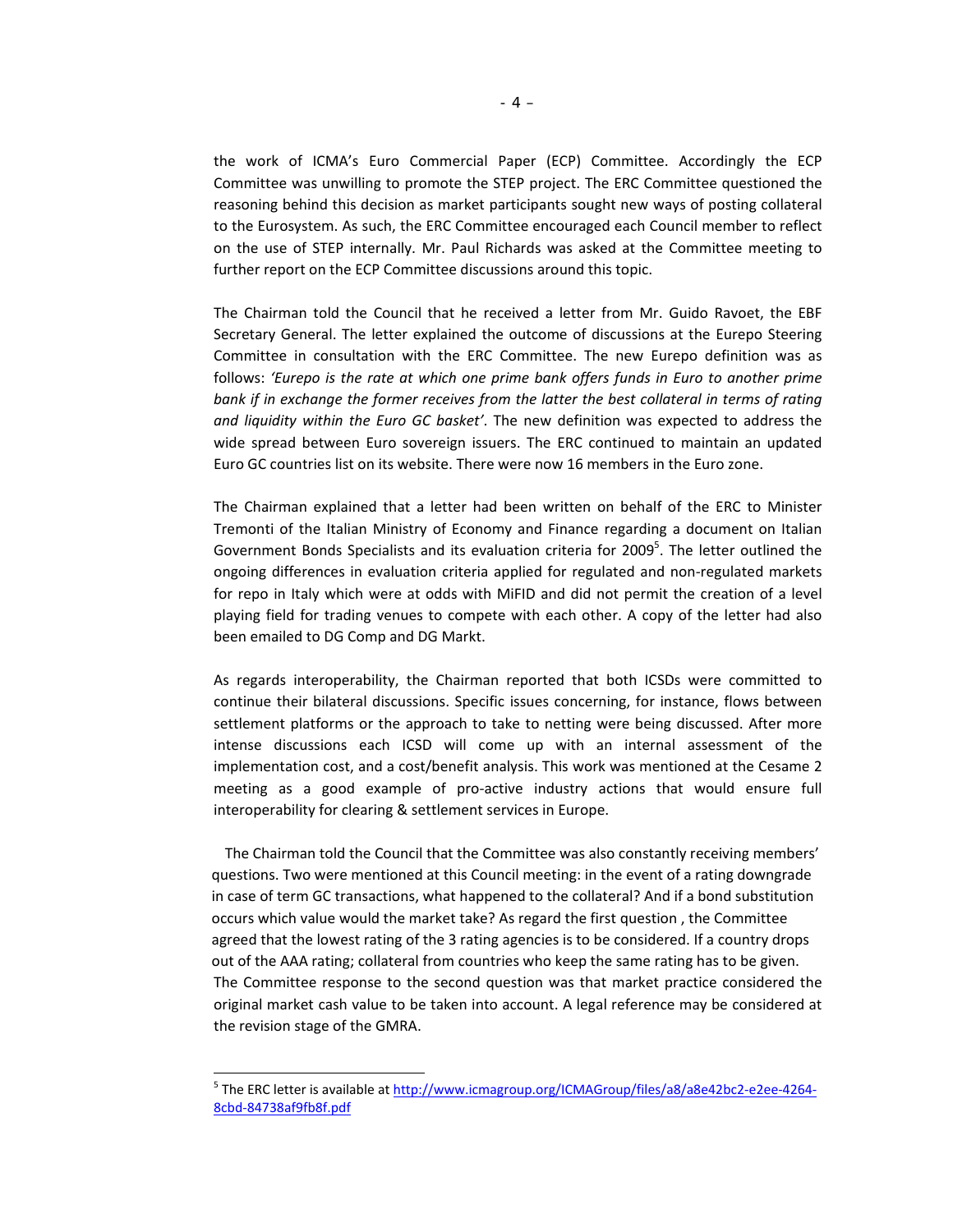the work of ICMA's Euro Commercial Paper (ECP) Committee. Accordingly the ECP Committee was unwilling to promote the STEP project. The ERC Committee questioned the reasoning behind this decision as market participants sought new ways of posting collateral to the Eurosystem. As such, the ERC Committee encouraged each Council member to reflect on the use of STEP internally. Mr. Paul Richards was asked at the Committee meeting to further report on the ECP Committee discussions around this topic.

The Chairman told the Council that he received a letter from Mr. Guido Ravoet, the EBF Secretary General. The letter explained the outcome of discussions at the Eurepo Steering Committee in consultation with the ERC Committee. The new Eurepo definition was as follows: *'Eurepo is the rate at which one prime bank offers funds in Euro to another prime bank if in exchange the former receives from the latter the best collateral in terms of rating and liquidity within the Euro GC basket'*. The new definition was expected to address the wide spread between Euro sovereign issuers. The ERC continued to maintain an updated Euro GC countries list on its website. There were now 16 members in the Euro zone.

The Chairman explained that a letter had been written on behalf of the ERC to Minister Tremonti of the Italian Ministry of Economy and Finance regarding a document on Italian Government Bonds Specialists and its evaluation criteria for 2009<sup>5</sup>. The letter outlined the ongoing differences in evaluation criteria applied for regulated and non‐regulated markets for repo in Italy which were at odds with MiFID and did not permit the creation of a level playing field for trading venues to compete with each other. A copy of the letter had also been emailed to DG Comp and DG Markt.

As regards interoperability, the Chairman reported that both ICSDs were committed to continue their bilateral discussions. Specific issues concerning, for instance, flows between settlement platforms or the approach to take to netting were being discussed. After more intense discussions each ICSD will come up with an internal assessment of the implementation cost, and a cost/benefit analysis. This work was mentioned at the Cesame 2 meeting as a good example of pro-active industry actions that would ensure full interoperability for clearing & settlement services in Europe.

The Chairman told the Council that the Committee was also constantly receiving members' questions. Two were mentioned at this Council meeting: in the event of a rating downgrade in case of term GC transactions, what happened to the collateral? And if a bond substitution occurs which value would the market take? As regard the first question , the Committee agreed that the lowest rating of the 3 rating agencies is to be considered. If a country drops out of the AAA rating; collateral from countries who keep the same rating has to be given. The Committee response to the second question was that market practice considered the original market cash value to be taken into account. A legal reference may be considered at the revision stage of the GMRA.

<sup>5</sup> The ERC letter is available at http://www.icmagroup.org/ICMAGroup/files/a8/a8e42bc2-e2ee-4264-8cbd‐84738af9fb8f.pdf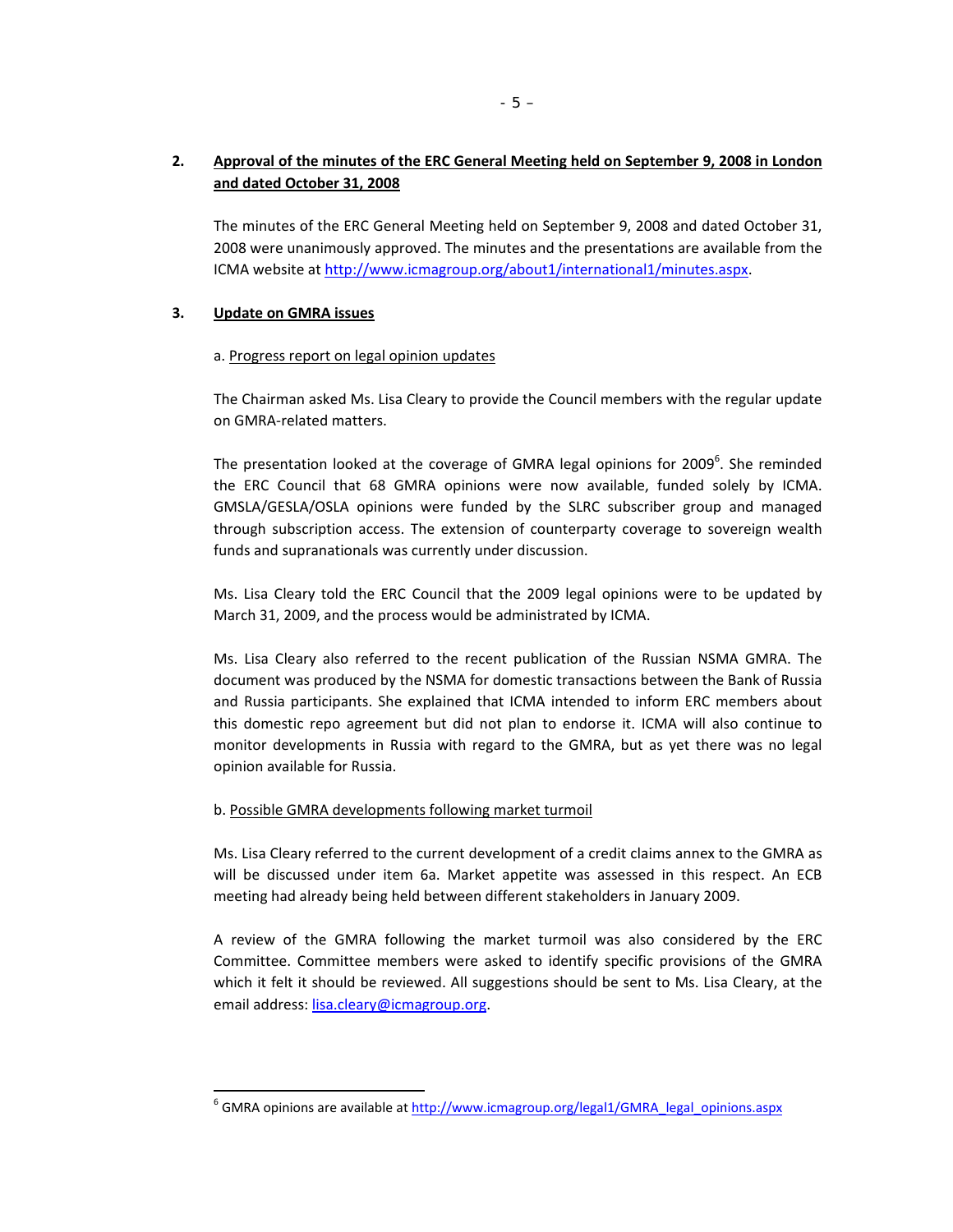# **2. Approval of the minutes of the ERC General Meeting held on September 9, 2008 in London and dated October 31, 2008**

The minutes of the ERC General Meeting held on September 9, 2008 and dated October 31, 2008 were unanimously approved. The minutes and the presentations are available from the ICMA website at http://www.icmagroup.org/about1/international1/minutes.aspx.

## **3. Update on GMRA issues**

 $\overline{a}$ 

#### a. Progress report on legal opinion updates

The Chairman asked Ms. Lisa Cleary to provide the Council members with the regular update on GMRA‐related matters.

The presentation looked at the coverage of GMRA legal opinions for 2009<sup>6</sup>. She reminded the ERC Council that 68 GMRA opinions were now available, funded solely by ICMA. GMSLA/GESLA/OSLA opinions were funded by the SLRC subscriber group and managed through subscription access. The extension of counterparty coverage to sovereign wealth funds and supranationals was currently under discussion.

Ms. Lisa Cleary told the ERC Council that the 2009 legal opinions were to be updated by March 31, 2009, and the process would be administrated by ICMA.

Ms. Lisa Cleary also referred to the recent publication of the Russian NSMA GMRA. The document was produced by the NSMA for domestic transactions between the Bank of Russia and Russia participants. She explained that ICMA intended to inform ERC members about this domestic repo agreement but did not plan to endorse it. ICMA will also continue to monitor developments in Russia with regard to the GMRA, but as yet there was no legal opinion available for Russia.

#### b. Possible GMRA developments following market turmoil

Ms. Lisa Cleary referred to the current development of a credit claims annex to the GMRA as will be discussed under item 6a. Market appetite was assessed in this respect. An ECB meeting had already being held between different stakeholders in January 2009.

A review of the GMRA following the market turmoil was also considered by the ERC Committee. Committee members were asked to identify specific provisions of the GMRA which it felt it should be reviewed. All suggestions should be sent to Ms. Lisa Cleary, at the email address: lisa.cleary@icmagroup.org.

<sup>&</sup>lt;sup>6</sup> GMRA opinions are available at http://www.icmagroup.org/legal1/GMRA\_legal\_opinions.aspx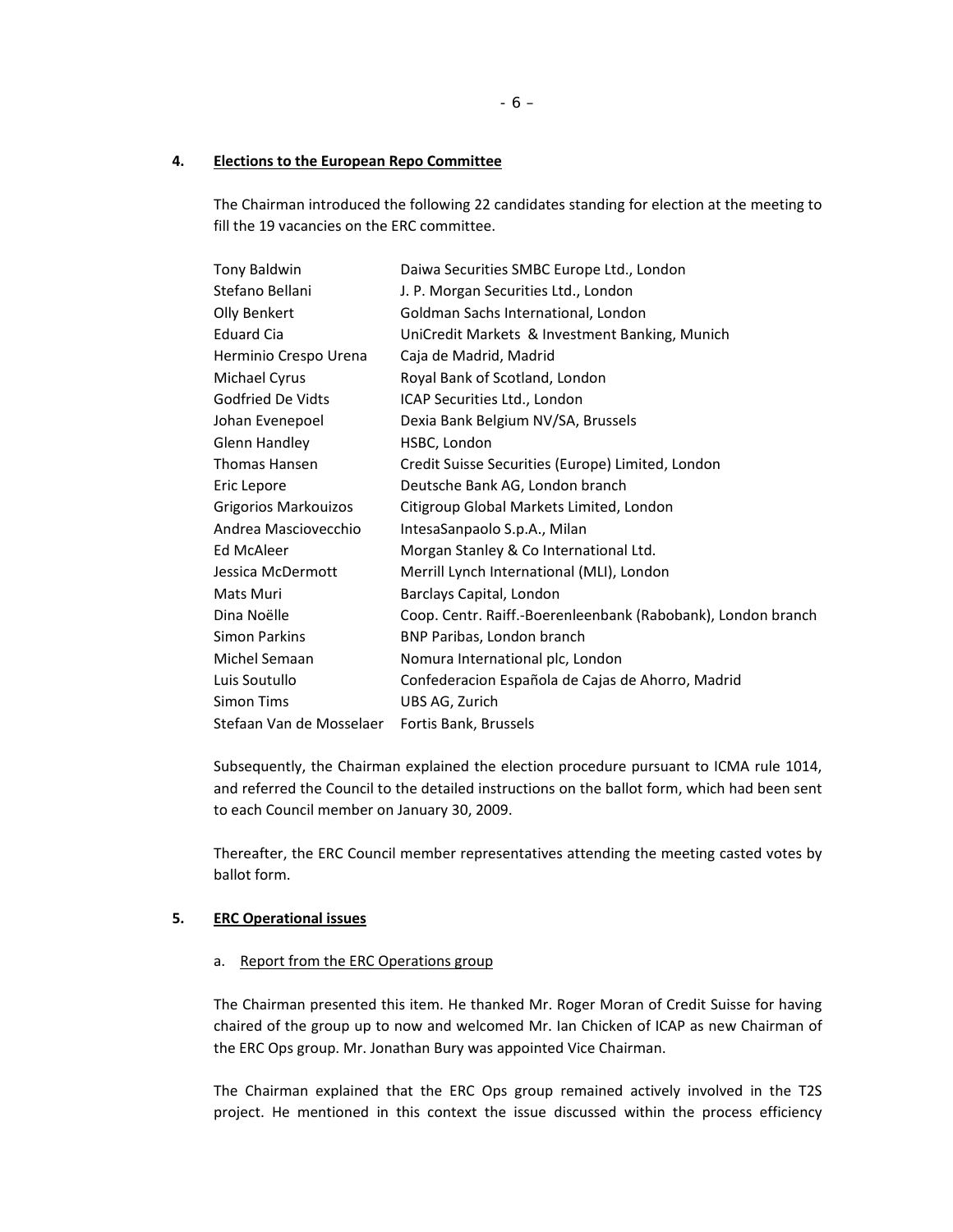### **4. Elections to the European Repo Committee**

The Chairman introduced the following 22 candidates standing for election at the meeting to fill the 19 vacancies on the ERC committee.

| Tony Baldwin                | Daiwa Securities SMBC Europe Ltd., London                    |
|-----------------------------|--------------------------------------------------------------|
| Stefano Bellani             | J. P. Morgan Securities Ltd., London                         |
| Olly Benkert                | Goldman Sachs International, London                          |
| <b>Eduard Cia</b>           | UniCredit Markets & Investment Banking, Munich               |
| Herminio Crespo Urena       | Caja de Madrid, Madrid                                       |
| Michael Cyrus               | Royal Bank of Scotland, London                               |
| Godfried De Vidts           | ICAP Securities Ltd., London                                 |
| Johan Evenepoel             | Dexia Bank Belgium NV/SA, Brussels                           |
| Glenn Handley               | HSBC, London                                                 |
| Thomas Hansen               | Credit Suisse Securities (Europe) Limited, London            |
| Eric Lepore                 | Deutsche Bank AG, London branch                              |
| <b>Grigorios Markouizos</b> | Citigroup Global Markets Limited, London                     |
| Andrea Masciovecchio        | IntesaSanpaolo S.p.A., Milan                                 |
| Ed McAleer                  | Morgan Stanley & Co International Ltd.                       |
| Jessica McDermott           | Merrill Lynch International (MLI), London                    |
| Mats Muri                   | Barclays Capital, London                                     |
| Dina Noëlle                 | Coop. Centr. Raiff.-Boerenleenbank (Rabobank), London branch |
| Simon Parkins               | BNP Paribas, London branch                                   |
| Michel Semaan               | Nomura International plc, London                             |
| Luis Soutullo               | Confederacion Española de Cajas de Ahorro, Madrid            |
| <b>Simon Tims</b>           | UBS AG, Zurich                                               |
| Stefaan Van de Mosselaer    | Fortis Bank, Brussels                                        |

Subsequently, the Chairman explained the election procedure pursuant to ICMA rule 1014, and referred the Council to the detailed instructions on the ballot form, which had been sent to each Council member on January 30, 2009.

Thereafter, the ERC Council member representatives attending the meeting casted votes by ballot form.

## **5. ERC Operational issues**

#### a. Report from the ERC Operations group

The Chairman presented this item. He thanked Mr. Roger Moran of Credit Suisse for having chaired of the group up to now and welcomed Mr. Ian Chicken of ICAP as new Chairman of the ERC Ops group. Mr. Jonathan Bury was appointed Vice Chairman.

The Chairman explained that the ERC Ops group remained actively involved in the T2S project. He mentioned in this context the issue discussed within the process efficiency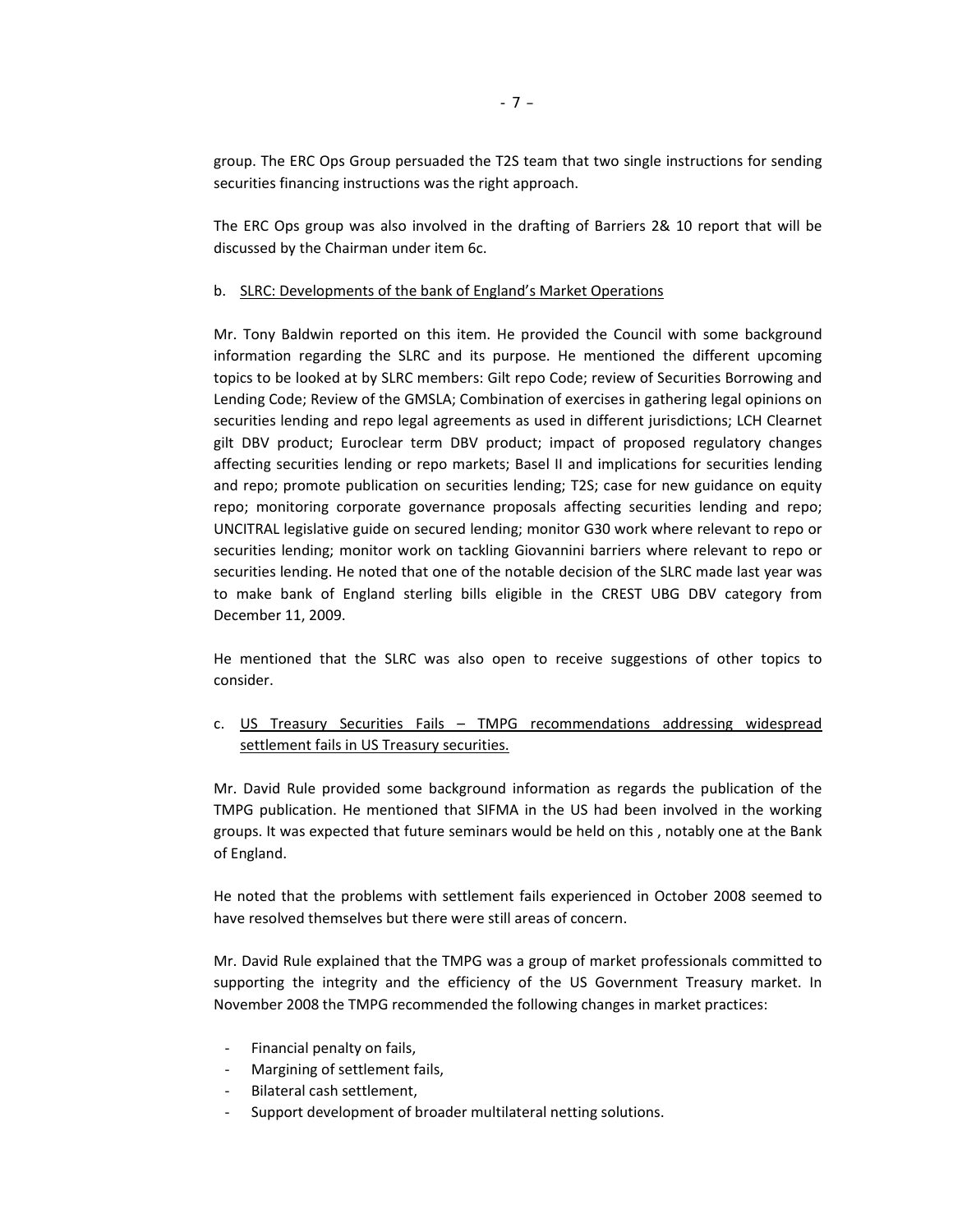group. The ERC Ops Group persuaded the T2S team that two single instructions for sending securities financing instructions was the right approach.

The ERC Ops group was also involved in the drafting of Barriers 2& 10 report that will be discussed by the Chairman under item 6c.

#### b. SLRC: Developments of the bank of England's Market Operations

Mr. Tony Baldwin reported on this item. He provided the Council with some background information regarding the SLRC and its purpose. He mentioned the different upcoming topics to be looked at by SLRC members: Gilt repo Code; review of Securities Borrowing and Lending Code; Review of the GMSLA; Combination of exercises in gathering legal opinions on securities lending and repo legal agreements as used in different jurisdictions; LCH Clearnet gilt DBV product; Euroclear term DBV product; impact of proposed regulatory changes affecting securities lending or repo markets; Basel II and implications for securities lending and repo; promote publication on securities lending; T2S; case for new guidance on equity repo; monitoring corporate governance proposals affecting securities lending and repo; UNCITRAL legislative guide on secured lending; monitor G30 work where relevant to repo or securities lending; monitor work on tackling Giovannini barriers where relevant to repo or securities lending. He noted that one of the notable decision of the SLRC made last year was to make bank of England sterling bills eligible in the CREST UBG DBV category from December 11, 2009.

He mentioned that the SLRC was also open to receive suggestions of other topics to consider.

c. US Treasury Securities Fails – TMPG recommendations addressing widespread settlement fails in US Treasury securities.

Mr. David Rule provided some background information as regards the publication of the TMPG publication. He mentioned that SIFMA in the US had been involved in the working groups. It was expected that future seminars would be held on this , notably one at the Bank of England.

He noted that the problems with settlement fails experienced in October 2008 seemed to have resolved themselves but there were still areas of concern.

Mr. David Rule explained that the TMPG was a group of market professionals committed to supporting the integrity and the efficiency of the US Government Treasury market. In November 2008 the TMPG recommended the following changes in market practices:

- ‐ Financial penalty on fails,
- ‐ Margining of settlement fails,
- ‐ Bilateral cash settlement,
- Support development of broader multilateral netting solutions.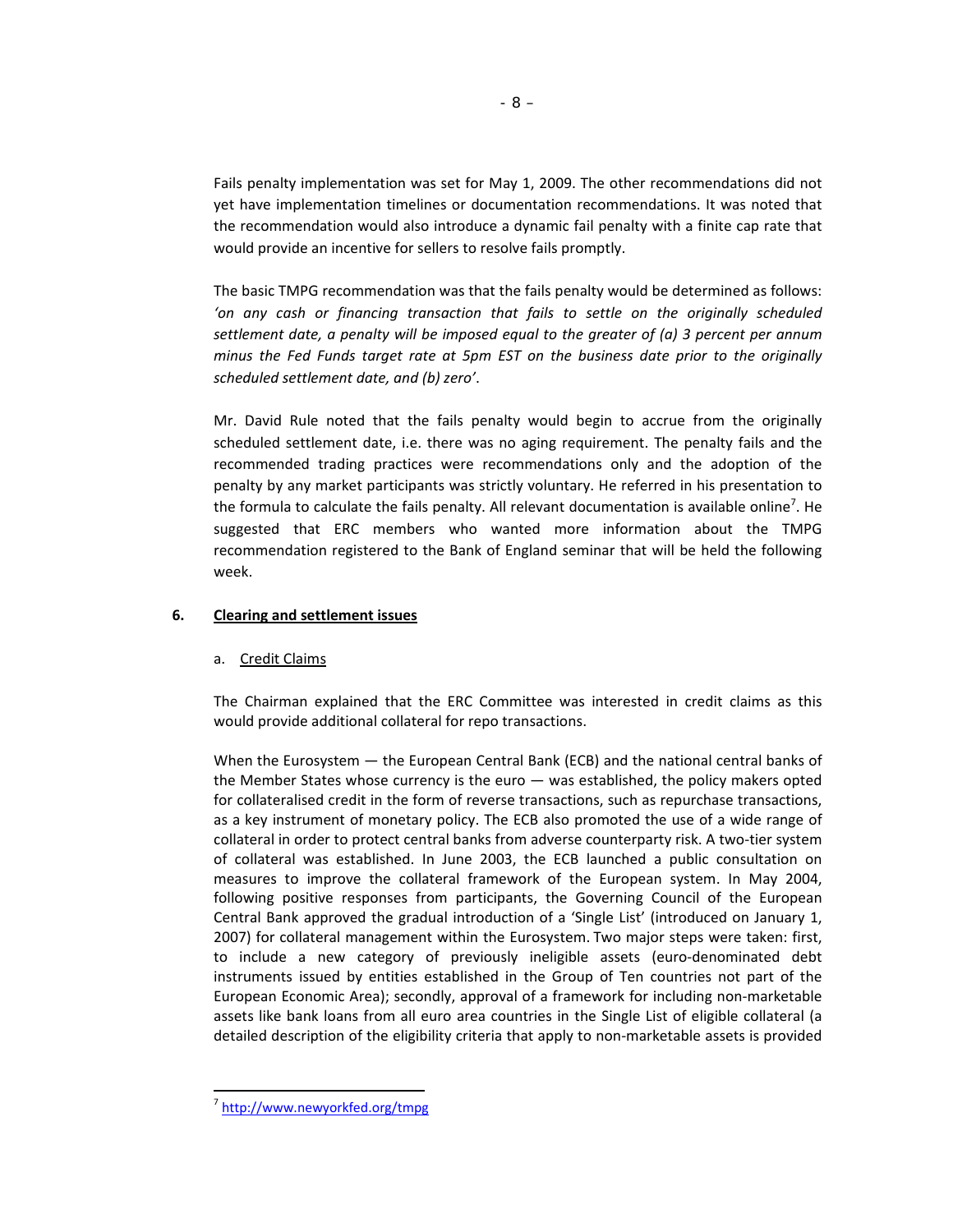Fails penalty implementation was set for May 1, 2009. The other recommendations did not yet have implementation timelines or documentation recommendations. It was noted that the recommendation would also introduce a dynamic fail penalty with a finite cap rate that would provide an incentive for sellers to resolve fails promptly.

The basic TMPG recommendation was that the fails penalty would be determined as follows: *'on any cash or financing transaction that fails to settle on the originally scheduled settlement date, a penalty will be imposed equal to the greater of (a) 3 percent per annum minus the Fed Funds target rate at 5pm EST on the business date prior to the originally scheduled settlement date, and (b) zero'*.

Mr. David Rule noted that the fails penalty would begin to accrue from the originally scheduled settlement date, i.e. there was no aging requirement. The penalty fails and the recommended trading practices were recommendations only and the adoption of the penalty by any market participants was strictly voluntary. He referred in his presentation to the formula to calculate the fails penalty. All relevant documentation is available online<sup>7</sup>. He suggested that ERC members who wanted more information about the TMPG recommendation registered to the Bank of England seminar that will be held the following week.

## **6. Clearing and settlement issues**

#### a. Credit Claims

The Chairman explained that the ERC Committee was interested in credit claims as this would provide additional collateral for repo transactions.

When the Eurosystem — the European Central Bank (ECB) and the national central banks of the Member States whose currency is the euro — was established, the policy makers opted for collateralised credit in the form of reverse transactions, such as repurchase transactions, as a key instrument of monetary policy. The ECB also promoted the use of a wide range of collateral in order to protect central banks from adverse counterparty risk. A two-tier system of collateral was established. In June 2003, the ECB launched a public consultation on measures to improve the collateral framework of the European system. In May 2004, following positive responses from participants, the Governing Council of the European Central Bank approved the gradual introduction of a 'Single List' (introduced on January 1, 2007) for collateral management within the Eurosystem. Two major steps were taken: first, to include a new category of previously ineligible assets (euro-denominated debt instruments issued by entities established in the Group of Ten countries not part of the European Economic Area); secondly, approval of a framework for including non‐marketable assets like bank loans from all euro area countries in the Single List of eligible collateral (a detailed description of the eligibility criteria that apply to non-marketable assets is provided

 $\overline{a}$ 

<sup>7</sup> http://www.newyorkfed.org/tmpg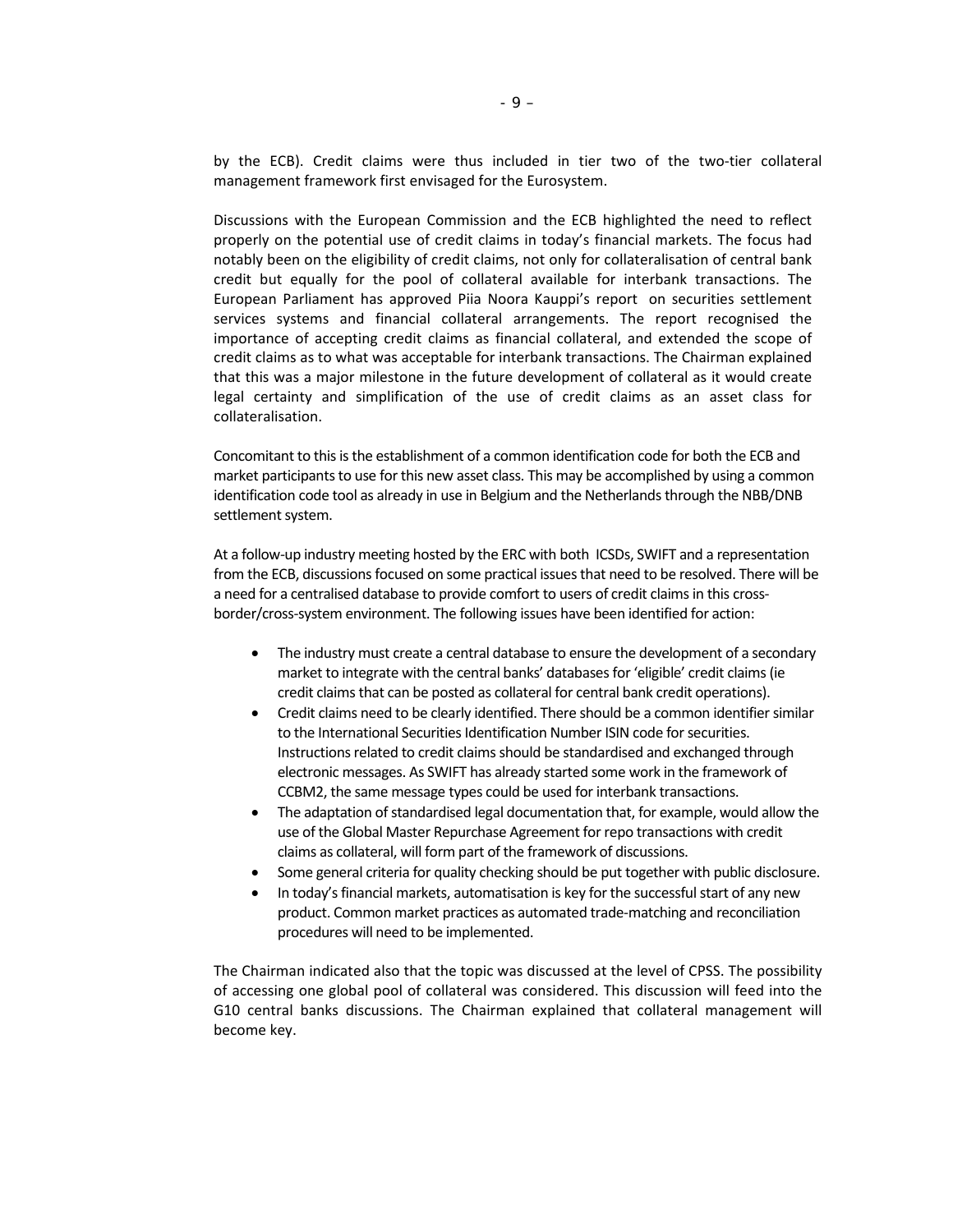by the ECB). Credit claims were thus included in tier two of the two-tier collateral management framework first envisaged for the Eurosystem.

Discussions with the European Commission and the ECB highlighted the need to reflect properly on the potential use of credit claims in today's financial markets. The focus had notably been on the eligibility of credit claims, not only for collateralisation of central bank credit but equally for the pool of collateral available for interbank transactions. The European Parliament has approved Piia Noora Kauppi's report on securities settlement services systems and financial collateral arrangements. The report recognised the importance of accepting credit claims as financial collateral, and extended the scope of credit claims as to what was acceptable for interbank transactions. The Chairman explained that this was a major milestone in the future development of collateral as it would create legal certainty and simplification of the use of credit claims as an asset class for collateralisation.

Concomitant to this is the establishment of a common identification code for both the ECB and market participants to use for this new asset class. This may be accomplished by using a common identification code tool as already in use in Belgium and the Netherlands through the NBB/DNB settlement system.

At a follow-up industry meeting hosted by the ERC with both ICSDs, SWIFT and a representation from the ECB, discussions focused on some practical issues that need to be resolved. There will be a need for a centralised database to provide comfort to users of credit claims in this crossborder/cross‐system environment. The following issues have been identified for action:

- The industry must create a central database to ensure the development of a secondary market to integrate with the central banks' databasesfor 'eligible' credit claims(ie credit claims that can be posted as collateral for central bank credit operations).
- Credit claims need to be clearly identified. There should be a common identifiersimilar to the International Securities Identification Number ISIN code for securities. Instructions related to credit claims should be standardised and exchanged through electronic messages. As SWIFT has already started some work in the framework of CCBM2, the same message types could be used for interbank transactions.
- The adaptation of standardised legal documentation that, for example, would allow the use of the Global Master Repurchase Agreement for repo transactions with credit claims as collateral, will form part of the framework of discussions.
- Some general criteria for quality checking should be put together with public disclosure.
- In today's financial markets, automatisation is key for the successful start of any new product. Common market practices as automated trade‐matching and reconciliation procedures will need to be implemented.

The Chairman indicated also that the topic was discussed at the level of CPSS. The possibility of accessing one global pool of collateral was considered. This discussion will feed into the G10 central banks discussions. The Chairman explained that collateral management will become key.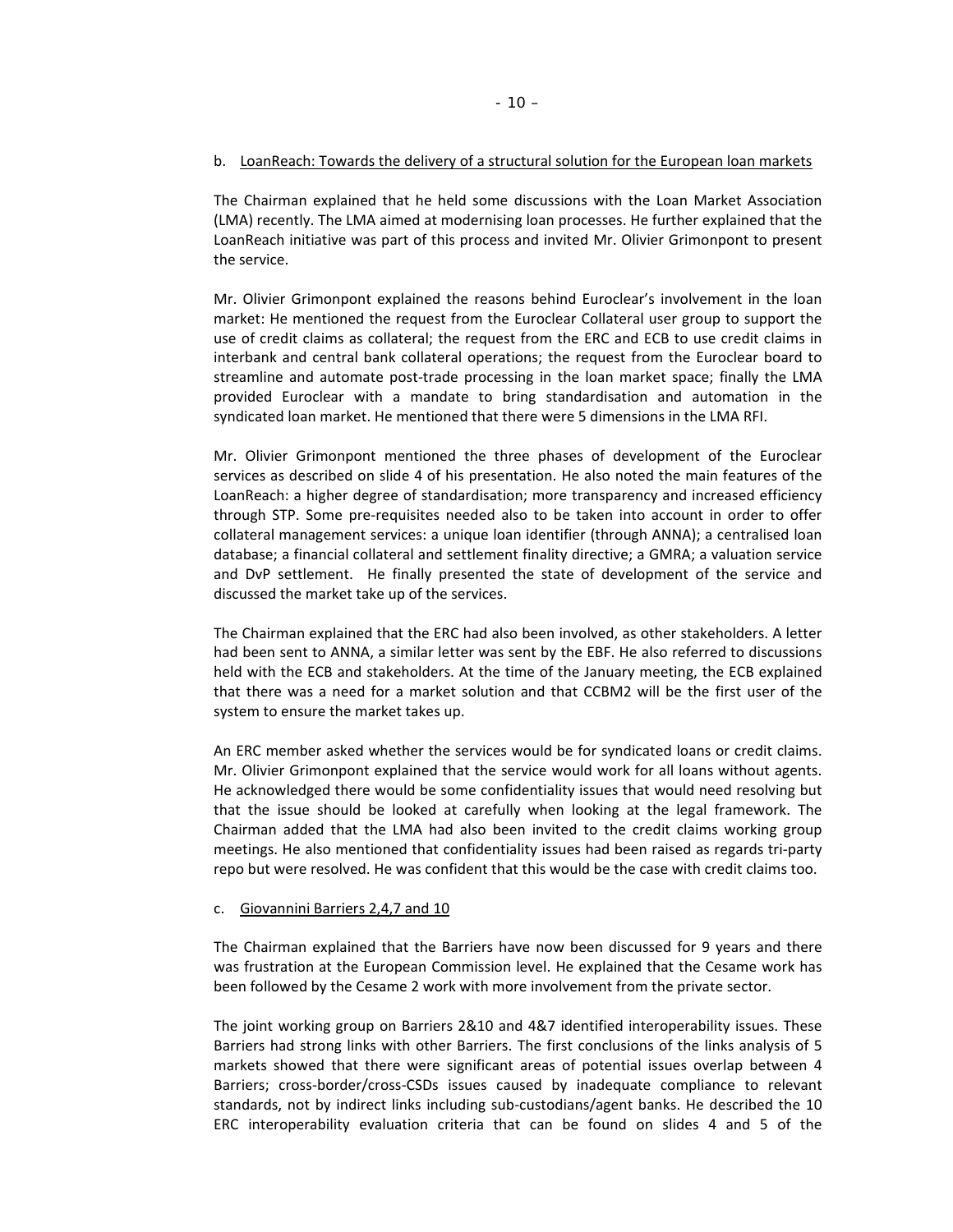#### b. LoanReach: Towards the delivery of a structural solution for the European loan markets

The Chairman explained that he held some discussions with the Loan Market Association (LMA) recently. The LMA aimed at modernising loan processes. He further explained that the LoanReach initiative was part of this process and invited Mr. Olivier Grimonpont to present the service.

Mr. Olivier Grimonpont explained the reasons behind Euroclear's involvement in the loan market: He mentioned the request from the Euroclear Collateral user group to support the use of credit claims as collateral; the request from the ERC and ECB to use credit claims in interbank and central bank collateral operations; the request from the Euroclear board to streamline and automate post-trade processing in the loan market space; finally the LMA provided Euroclear with a mandate to bring standardisation and automation in the syndicated loan market. He mentioned that there were 5 dimensions in the LMA RFI.

Mr. Olivier Grimonpont mentioned the three phases of development of the Euroclear services as described on slide 4 of his presentation. He also noted the main features of the LoanReach: a higher degree of standardisation; more transparency and increased efficiency through STP. Some pre‐requisites needed also to be taken into account in order to offer collateral management services: a unique loan identifier (through ANNA); a centralised loan database; a financial collateral and settlement finality directive; a GMRA; a valuation service and DvP settlement. He finally presented the state of development of the service and discussed the market take up of the services.

The Chairman explained that the ERC had also been involved, as other stakeholders. A letter had been sent to ANNA, a similar letter was sent by the EBF. He also referred to discussions held with the ECB and stakeholders. At the time of the January meeting, the ECB explained that there was a need for a market solution and that CCBM2 will be the first user of the system to ensure the market takes up.

An ERC member asked whether the services would be for syndicated loans or credit claims. Mr. Olivier Grimonpont explained that the service would work for all loans without agents. He acknowledged there would be some confidentiality issues that would need resolving but that the issue should be looked at carefully when looking at the legal framework. The Chairman added that the LMA had also been invited to the credit claims working group meetings. He also mentioned that confidentiality issues had been raised as regards tri‐party repo but were resolved. He was confident that this would be the case with credit claims too.

#### c. Giovannini Barriers 2,4,7 and 10

The Chairman explained that the Barriers have now been discussed for 9 years and there was frustration at the European Commission level. He explained that the Cesame work has been followed by the Cesame 2 work with more involvement from the private sector.

The joint working group on Barriers 2&10 and 4&7 identified interoperability issues. These Barriers had strong links with other Barriers. The first conclusions of the links analysis of 5 markets showed that there were significant areas of potential issues overlap between 4 Barriers; cross‐border/cross‐CSDs issues caused by inadequate compliance to relevant standards, not by indirect links including sub-custodians/agent banks. He described the 10 ERC interoperability evaluation criteria that can be found on slides 4 and 5 of the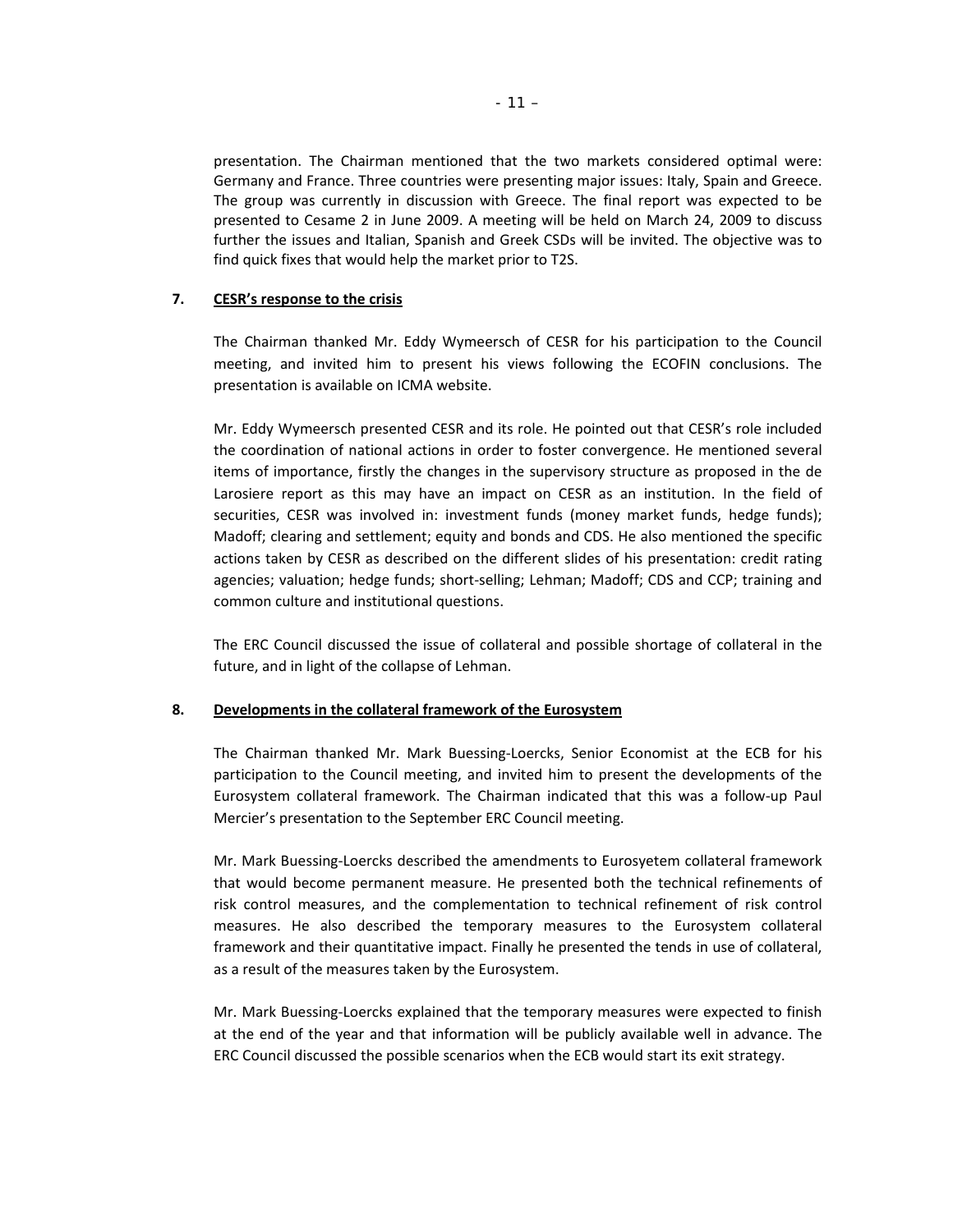presentation. The Chairman mentioned that the two markets considered optimal were: Germany and France. Three countries were presenting major issues: Italy, Spain and Greece. The group was currently in discussion with Greece. The final report was expected to be presented to Cesame 2 in June 2009. A meeting will be held on March 24, 2009 to discuss further the issues and Italian, Spanish and Greek CSDs will be invited. The objective was to find quick fixes that would help the market prior to T2S.

# **7. CESR's response to the crisis**

The Chairman thanked Mr. Eddy Wymeersch of CESR for his participation to the Council meeting, and invited him to present his views following the ECOFIN conclusions. The presentation is available on ICMA website.

Mr. Eddy Wymeersch presented CESR and its role. He pointed out that CESR's role included the coordination of national actions in order to foster convergence. He mentioned several items of importance, firstly the changes in the supervisory structure as proposed in the de Larosiere report as this may have an impact on CESR as an institution. In the field of securities, CESR was involved in: investment funds (money market funds, hedge funds); Madoff; clearing and settlement; equity and bonds and CDS. He also mentioned the specific actions taken by CESR as described on the different slides of his presentation: credit rating agencies; valuation; hedge funds; short-selling; Lehman; Madoff; CDS and CCP; training and common culture and institutional questions.

The ERC Council discussed the issue of collateral and possible shortage of collateral in the future, and in light of the collapse of Lehman.

## **8. Developments in the collateral framework of the Eurosystem**

The Chairman thanked Mr. Mark Buessing‐Loercks, Senior Economist at the ECB for his participation to the Council meeting, and invited him to present the developments of the Eurosystem collateral framework. The Chairman indicated that this was a follow‐up Paul Mercier's presentation to the September ERC Council meeting.

Mr. Mark Buessing‐Loercks described the amendments to Eurosyetem collateral framework that would become permanent measure. He presented both the technical refinements of risk control measures, and the complementation to technical refinement of risk control measures. He also described the temporary measures to the Eurosystem collateral framework and their quantitative impact. Finally he presented the tends in use of collateral, as a result of the measures taken by the Eurosystem.

Mr. Mark Buessing‐Loercks explained that the temporary measures were expected to finish at the end of the year and that information will be publicly available well in advance. The ERC Council discussed the possible scenarios when the ECB would start its exit strategy.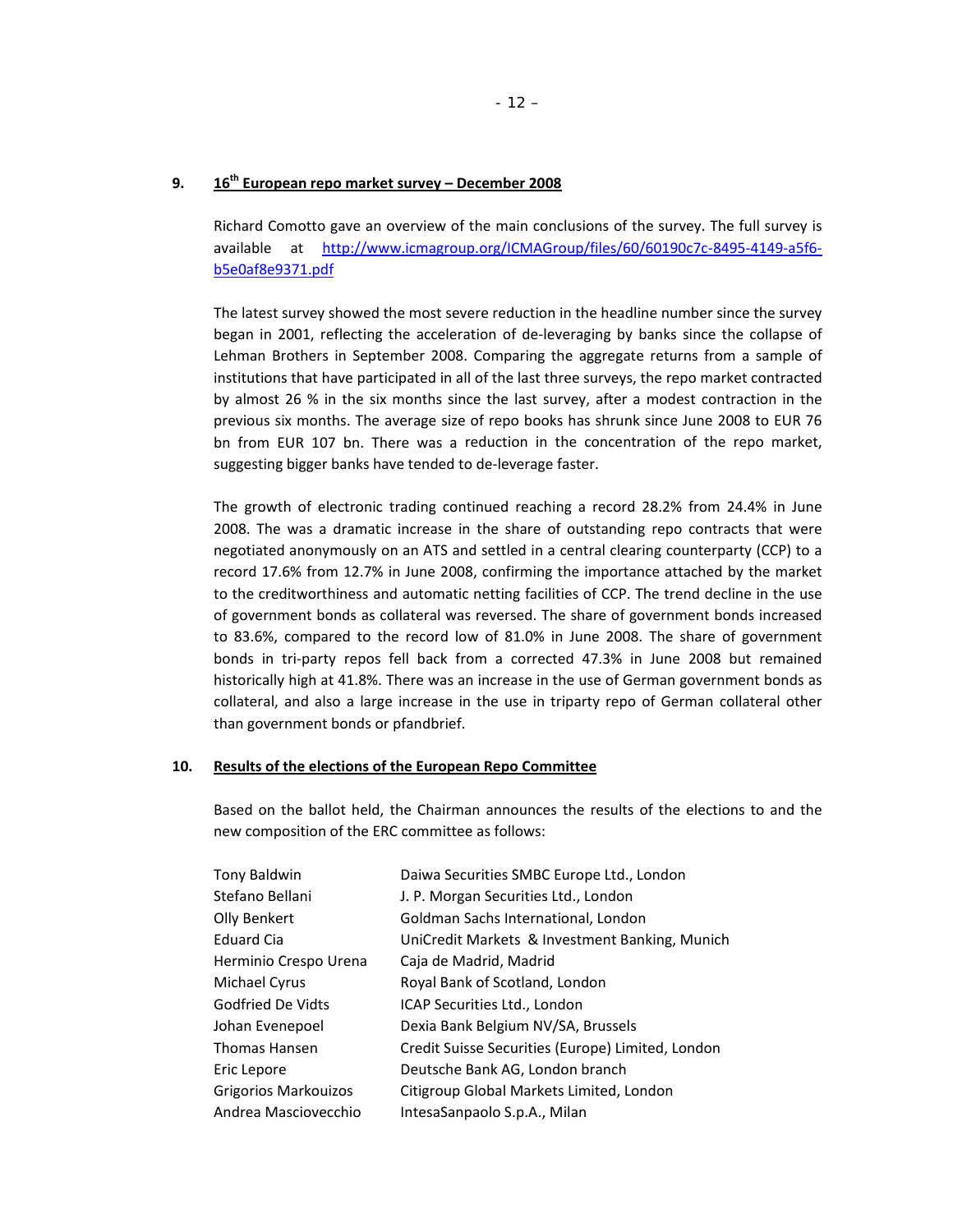## **9. 16th European repo market survey – December 2008**

Richard Comotto gave an overview of the main conclusions of the survey. The full survey is available at http://www.icmagroup.org/ICMAGroup/files/60/60190c7c‐8495‐4149‐a5f6‐ b5e0af8e9371.pdf

The latest survey showed the most severe reduction in the headline number since the survey began in 2001, reflecting the acceleration of de‐leveraging by banks since the collapse of Lehman Brothers in September 2008. Comparing the aggregate returns from a sample of institutions that have participated in all of the last three surveys, the repo market contracted by almost 26 % in the six months since the last survey, after a modest contraction in the previous six months. The average size of repo books has shrunk since June 2008 to EUR 76 bn from EUR 107 bn. There was a reduction in the concentration of the repo market, suggesting bigger banks have tended to de‐leverage faster.

The growth of electronic trading continued reaching a record 28.2% from 24.4% in June 2008. The was a dramatic increase in the share of outstanding repo contracts that were negotiated anonymously on an ATS and settled in a central clearing counterparty (CCP) to a record 17.6% from 12.7% in June 2008, confirming the importance attached by the market to the creditworthiness and automatic netting facilities of CCP. The trend decline in the use of government bonds as collateral was reversed. The share of government bonds increased to 83.6%, compared to the record low of 81.0% in June 2008. The share of government bonds in tri‐party repos fell back from a corrected 47.3% in June 2008 but remained historically high at 41.8%. There was an increase in the use of German government bonds as collateral, and also a large increase in the use in triparty repo of German collateral other than government bonds or pfandbrief.

## **10. Results of the elections of the European Repo Committee**

Based on the ballot held, the Chairman announces the results of the elections to and the new composition of the ERC committee as follows:

| <b>Tony Baldwin</b>      | Daiwa Securities SMBC Europe Ltd., London         |
|--------------------------|---------------------------------------------------|
| Stefano Bellani          | J. P. Morgan Securities Ltd., London              |
| Olly Benkert             | Goldman Sachs International, London               |
| <b>Eduard Cia</b>        | UniCredit Markets & Investment Banking, Munich    |
| Herminio Crespo Urena    | Caja de Madrid, Madrid                            |
| Michael Cyrus            | Royal Bank of Scotland, London                    |
| <b>Godfried De Vidts</b> | ICAP Securities Ltd., London                      |
| Johan Evenepoel          | Dexia Bank Belgium NV/SA, Brussels                |
| <b>Thomas Hansen</b>     | Credit Suisse Securities (Europe) Limited, London |
| Eric Lepore              | Deutsche Bank AG, London branch                   |
| Grigorios Markouizos     | Citigroup Global Markets Limited, London          |
| Andrea Masciovecchio     | IntesaSanpaolo S.p.A., Milan                      |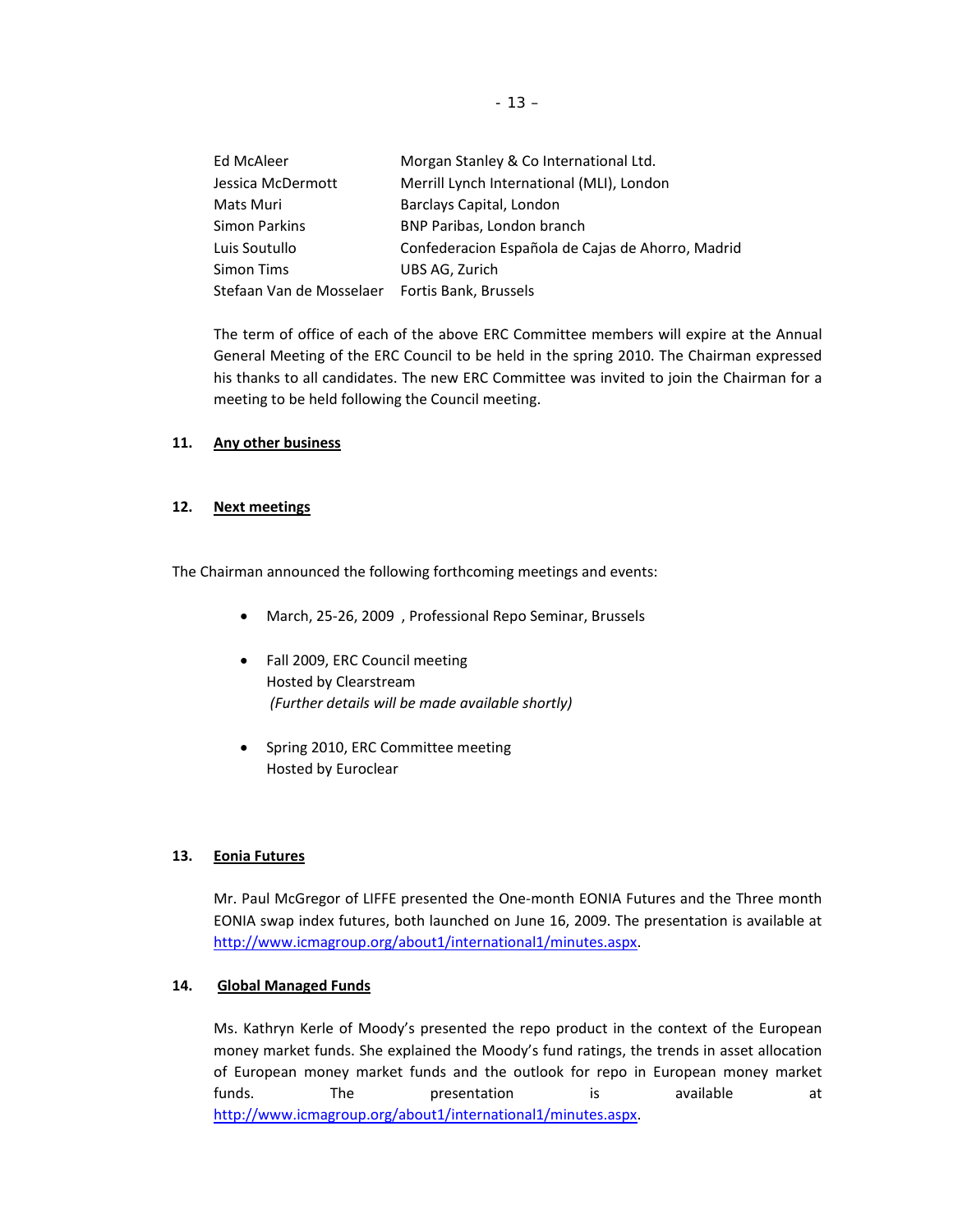| Ed McAleer                                     | Morgan Stanley & Co International Ltd.            |
|------------------------------------------------|---------------------------------------------------|
| Jessica McDermott                              | Merrill Lynch International (MLI), London         |
| Mats Muri                                      | Barclays Capital, London                          |
| Simon Parkins                                  | BNP Paribas, London branch                        |
| Luis Soutullo                                  | Confederacion Española de Cajas de Ahorro, Madrid |
| Simon Tims                                     | UBS AG, Zurich                                    |
| Stefaan Van de Mosselaer Fortis Bank, Brussels |                                                   |

The term of office of each of the above ERC Committee members will expire at the Annual General Meeting of the ERC Council to be held in the spring 2010. The Chairman expressed his thanks to all candidates. The new ERC Committee was invited to join the Chairman for a meeting to be held following the Council meeting.

## **11. Any other business**

#### **12. Next meetings**

The Chairman announced the following forthcoming meetings and events:

- March, 25‐26, 2009 , Professional Repo Seminar, Brussels
- Fall 2009, ERC Council meeting Hosted by Clearstream *(Further details will be made available shortly)*
- Spring 2010, ERC Committee meeting Hosted by Euroclear

# **13. Eonia Futures**

Mr. Paul McGregor of LIFFE presented the One‐month EONIA Futures and the Three month EONIA swap index futures, both launched on June 16, 2009. The presentation is available at http://www.icmagroup.org/about1/international1/minutes.aspx.

## **14. Global Managed Funds**

Ms. Kathryn Kerle of Moody's presented the repo product in the context of the European money market funds. She explained the Moody's fund ratings, the trends in asset allocation of European money market funds and the outlook for repo in European money market funds. The presentation is available at http://www.icmagroup.org/about1/international1/minutes.aspx.